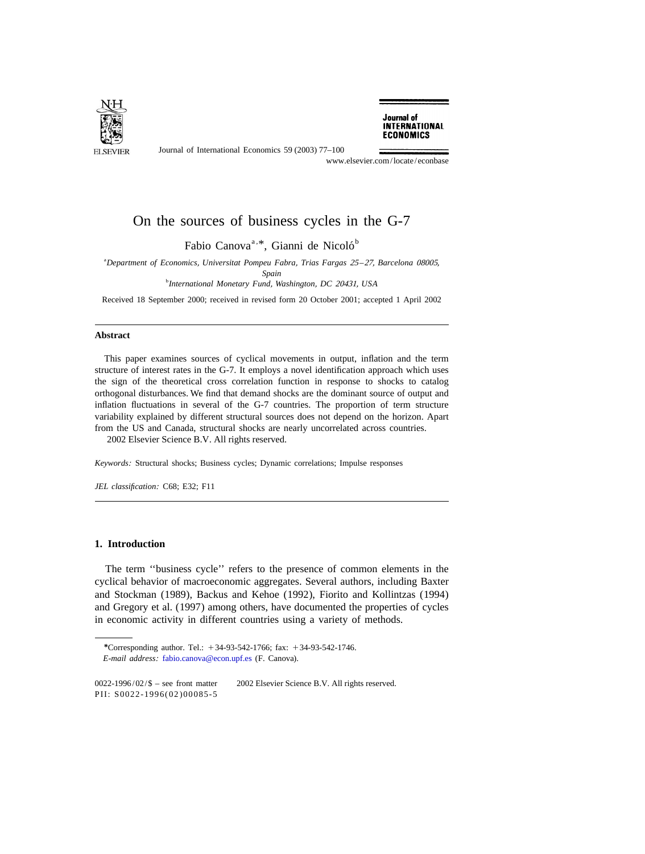

Journal of International Economics 59 (2003) 77–100

Journal of **INTERNATIONAL ECONOMICS** 

www.elsevier.com/locate/econbase

# On the sources of business cycles in the G-7

Fabio Canova<sup>a, \*</sup>, Gianni de Nicoló<sup>b</sup>

a *Department of Economics*, *Universitat Pompeu Fabra*, *Trias Fargas* <sup>25</sup> –27, *Barcelona* 08005, *Spain*

b *International Monetary Fund*, *Washington*, *DC* 20431, *USA*

Received 18 September 2000; received in revised form 20 October 2001; accepted 1 April 2002

#### **Abstract**

This paper examines sources of cyclical movements in output, inflation and the term structure of interest rates in the G-7. It employs a novel identification approach which uses the sign of the theoretical cross correlation function in response to shocks to catalog orthogonal disturbances. We find that demand shocks are the dominant source of output and inflation fluctuations in several of the G-7 countries. The proportion of term structure variability explained by different structural sources does not depend on the horizon. Apart from the US and Canada, structural shocks are nearly uncorrelated across countries. 2002 Elsevier Science B.V. All rights reserved.

*Keywords*: Structural shocks; Business cycles; Dynamic correlations; Impulse responses

*JEL classification*: C68; E32; F11

#### **1. Introduction**

The term ''business cycle'' refers to the presence of common elements in the cyclical behavior of macroeconomic aggregates. Several authors, including Baxter and Stockman (1989), Backus and Kehoe (1992), Fiorito and Kollintzas (1994) and Gregory et al. (1997) among others, have documented the properties of cycles in economic activity in different countries using a variety of methods.

*<sup>\*</sup>*Corresponding author. Tel.: 134-93-542-1766; fax: 134-93-542-1746. *E*-*mail address*: [fabio.canova@econ.upf.es](mailto:fabio.canova@econ.upf.es) (F. Canova).

 $0022-1996/02/\$$  – see front matter  $\degree$  2002 Elsevier Science B.V. All rights reserved. PII: S0022-1996(02)00085-5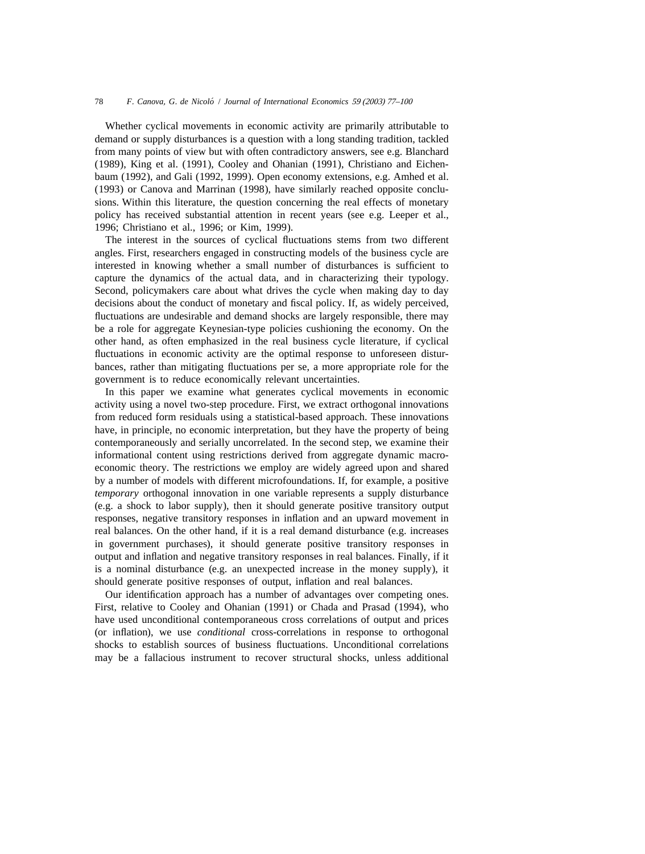Whether cyclical movements in economic activity are primarily attributable to demand or supply disturbances is a question with a long standing tradition, tackled from many points of view but with often contradictory answers, see e.g. Blanchard (1989), King et al. (1991), Cooley and Ohanian (1991), Christiano and Eichenbaum (1992), and Gali (1992, 1999). Open economy extensions, e.g. Amhed et al. (1993) or Canova and Marrinan (1998), have similarly reached opposite conclusions. Within this literature, the question concerning the real effects of monetary policy has received substantial attention in recent years (see e.g. Leeper et al., 1996; Christiano et al., 1996; or Kim, 1999).

The interest in the sources of cyclical fluctuations stems from two different angles. First, researchers engaged in constructing models of the business cycle are interested in knowing whether a small number of disturbances is sufficient to capture the dynamics of the actual data, and in characterizing their typology. Second, policymakers care about what drives the cycle when making day to day decisions about the conduct of monetary and fiscal policy. If, as widely perceived, fluctuations are undesirable and demand shocks are largely responsible, there may be a role for aggregate Keynesian-type policies cushioning the economy. On the other hand, as often emphasized in the real business cycle literature, if cyclical fluctuations in economic activity are the optimal response to unforeseen disturbances, rather than mitigating fluctuations per se, a more appropriate role for the government is to reduce economically relevant uncertainties.

In this paper we examine what generates cyclical movements in economic activity using a novel two-step procedure. First, we extract orthogonal innovations from reduced form residuals using a statistical-based approach. These innovations have, in principle, no economic interpretation, but they have the property of being contemporaneously and serially uncorrelated. In the second step, we examine their informational content using restrictions derived from aggregate dynamic macroeconomic theory. The restrictions we employ are widely agreed upon and shared by a number of models with different microfoundations. If, for example, a positive *temporary* orthogonal innovation in one variable represents a supply disturbance (e.g. a shock to labor supply), then it should generate positive transitory output responses, negative transitory responses in inflation and an upward movement in real balances. On the other hand, if it is a real demand disturbance (e.g. increases in government purchases), it should generate positive transitory responses in output and inflation and negative transitory responses in real balances. Finally, if it is a nominal disturbance (e.g. an unexpected increase in the money supply), it should generate positive responses of output, inflation and real balances.

Our identification approach has a number of advantages over competing ones. First, relative to Cooley and Ohanian (1991) or Chada and Prasad (1994), who have used unconditional contemporaneous cross correlations of output and prices (or inflation), we use *conditional* cross-correlations in response to orthogonal shocks to establish sources of business fluctuations. Unconditional correlations may be a fallacious instrument to recover structural shocks, unless additional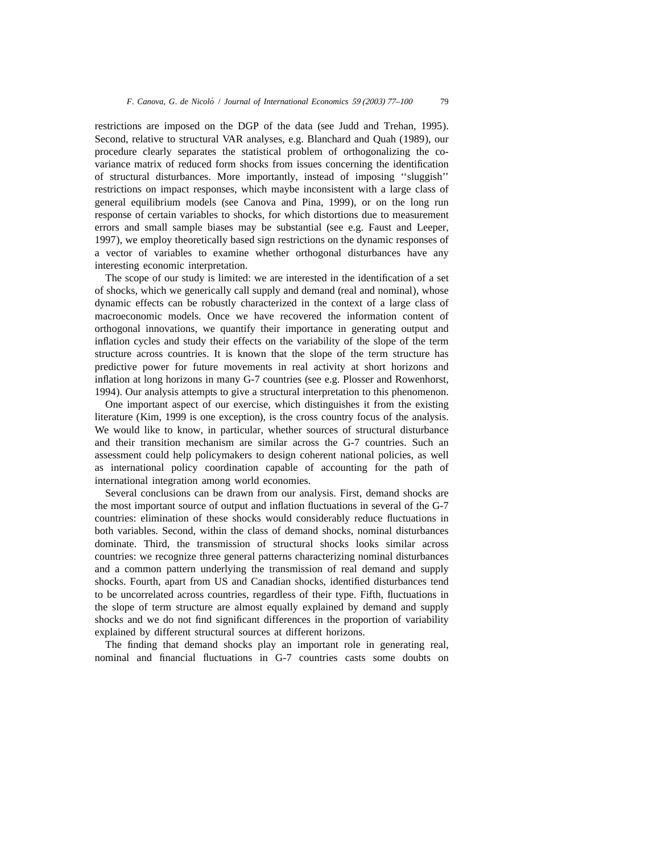restrictions are imposed on the DGP of the data (see Judd and Trehan, 1995). Second, relative to structural VAR analyses, e.g. Blanchard and Quah (1989), our procedure clearly separates the statistical problem of orthogonalizing the covariance matrix of reduced form shocks from issues concerning the identification of structural disturbances. More importantly, instead of imposing ''sluggish'' restrictions on impact responses, which maybe inconsistent with a large class of general equilibrium models (see Canova and Pina, 1999), or on the long run response of certain variables to shocks, for which distortions due to measurement errors and small sample biases may be substantial (see e.g. Faust and Leeper, 1997), we employ theoretically based sign restrictions on the dynamic responses of a vector of variables to examine whether orthogonal disturbances have any interesting economic interpretation.

The scope of our study is limited: we are interested in the identification of a set of shocks, which we generically call supply and demand (real and nominal), whose dynamic effects can be robustly characterized in the context of a large class of macroeconomic models. Once we have recovered the information content of orthogonal innovations, we quantify their importance in generating output and inflation cycles and study their effects on the variability of the slope of the term structure across countries. It is known that the slope of the term structure has predictive power for future movements in real activity at short horizons and inflation at long horizons in many G-7 countries (see e.g. Plosser and Rowenhorst, 1994). Our analysis attempts to give a structural interpretation to this phenomenon.

One important aspect of our exercise, which distinguishes it from the existing literature (Kim, 1999 is one exception), is the cross country focus of the analysis. We would like to know, in particular, whether sources of structural disturbance and their transition mechanism are similar across the G-7 countries. Such an assessment could help policymakers to design coherent national policies, as well as international policy coordination capable of accounting for the path of international integration among world economies.

Several conclusions can be drawn from our analysis. First, demand shocks are the most important source of output and inflation fluctuations in several of the G-7 countries: elimination of these shocks would considerably reduce fluctuations in both variables. Second, within the class of demand shocks, nominal disturbances dominate. Third, the transmission of structural shocks looks similar across countries: we recognize three general patterns characterizing nominal disturbances and a common pattern underlying the transmission of real demand and supply shocks. Fourth, apart from US and Canadian shocks, identified disturbances tend to be uncorrelated across countries, regardless of their type. Fifth, fluctuations in the slope of term structure are almost equally explained by demand and supply shocks and we do not find significant differences in the proportion of variability explained by different structural sources at different horizons.

The finding that demand shocks play an important role in generating real, nominal and financial fluctuations in G-7 countries casts some doubts on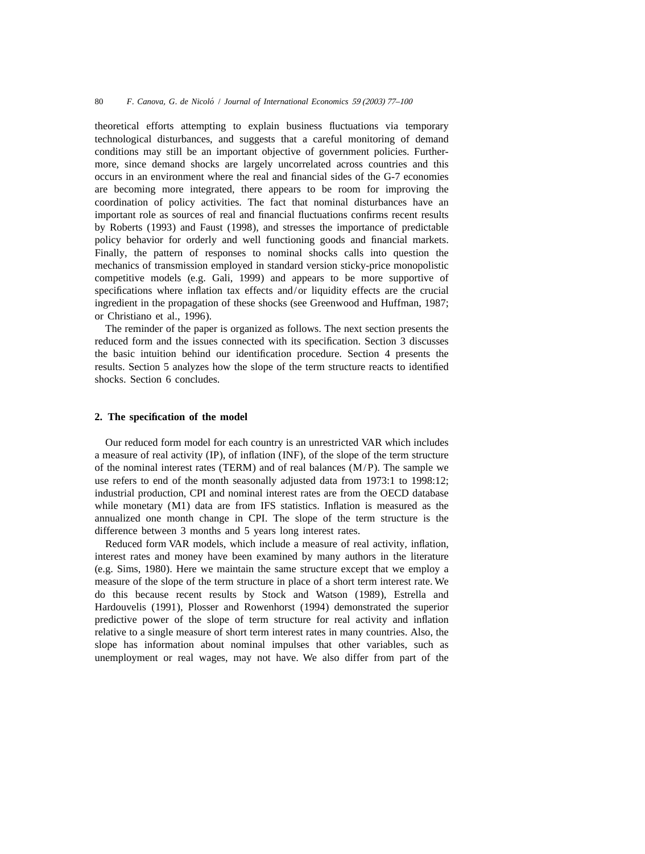theoretical efforts attempting to explain business fluctuations via temporary technological disturbances, and suggests that a careful monitoring of demand conditions may still be an important objective of government policies. Furthermore, since demand shocks are largely uncorrelated across countries and this occurs in an environment where the real and financial sides of the G-7 economies are becoming more integrated, there appears to be room for improving the coordination of policy activities. The fact that nominal disturbances have an important role as sources of real and financial fluctuations confirms recent results by Roberts (1993) and Faust (1998), and stresses the importance of predictable policy behavior for orderly and well functioning goods and financial markets. Finally, the pattern of responses to nominal shocks calls into question the mechanics of transmission employed in standard version sticky-price monopolistic competitive models (e.g. Gali, 1999) and appears to be more supportive of specifications where inflation tax effects and/or liquidity effects are the crucial ingredient in the propagation of these shocks (see Greenwood and Huffman, 1987; or Christiano et al., 1996).

The reminder of the paper is organized as follows. The next section presents the reduced form and the issues connected with its specification. Section 3 discusses the basic intuition behind our identification procedure. Section 4 presents the results. Section 5 analyzes how the slope of the term structure reacts to identified shocks. Section 6 concludes.

#### **2. The specification of the model**

Our reduced form model for each country is an unrestricted VAR which includes a measure of real activity (IP), of inflation (INF), of the slope of the term structure of the nominal interest rates (TERM) and of real balances  $(M/P)$ . The sample we use refers to end of the month seasonally adjusted data from 1973:1 to 1998:12; industrial production, CPI and nominal interest rates are from the OECD database while monetary (M1) data are from IFS statistics. Inflation is measured as the annualized one month change in CPI. The slope of the term structure is the difference between 3 months and 5 years long interest rates.

Reduced form VAR models, which include a measure of real activity, inflation, interest rates and money have been examined by many authors in the literature (e.g. Sims, 1980). Here we maintain the same structure except that we employ a measure of the slope of the term structure in place of a short term interest rate. We do this because recent results by Stock and Watson (1989), Estrella and Hardouvelis (1991), Plosser and Rowenhorst (1994) demonstrated the superior predictive power of the slope of term structure for real activity and inflation relative to a single measure of short term interest rates in many countries. Also, the slope has information about nominal impulses that other variables, such as unemployment or real wages, may not have. We also differ from part of the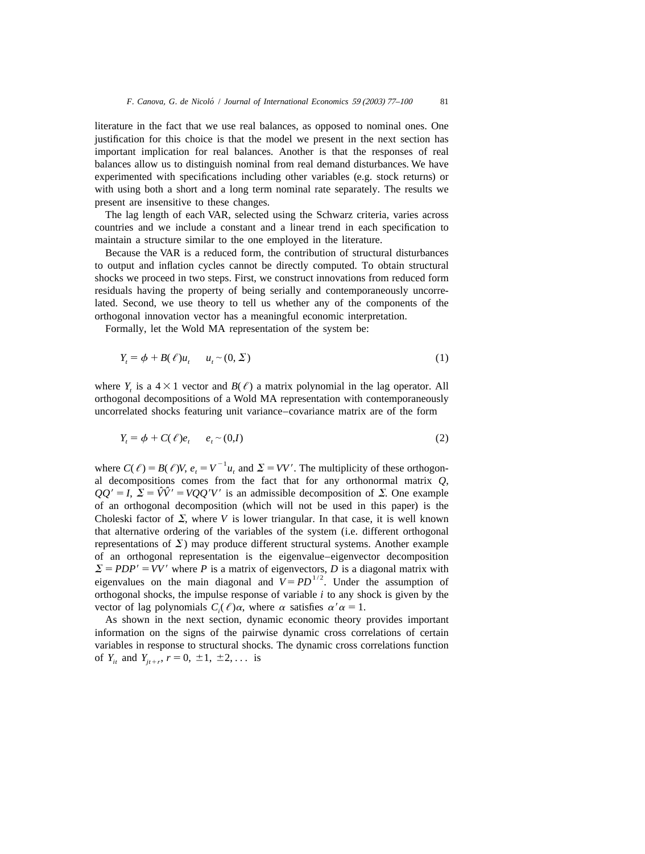literature in the fact that we use real balances, as opposed to nominal ones. One justification for this choice is that the model we present in the next section has important implication for real balances. Another is that the responses of real balances allow us to distinguish nominal from real demand disturbances. We have experimented with specifications including other variables (e.g. stock returns) or with using both a short and a long term nominal rate separately. The results we present are insensitive to these changes.

The lag length of each VAR, selected using the Schwarz criteria, varies across countries and we include a constant and a linear trend in each specification to maintain a structure similar to the one employed in the literature.

Because the VAR is a reduced form, the contribution of structural disturbances to output and inflation cycles cannot be directly computed. To obtain structural shocks we proceed in two steps. First, we construct innovations from reduced form residuals having the property of being serially and contemporaneously uncorrelated. Second, we use theory to tell us whether any of the components of the orthogonal innovation vector has a meaningful economic interpretation.

Formally, let the Wold MA representation of the system be:

$$
Y_t = \phi + B(\ell)u_t \qquad u_t \sim (0, \Sigma) \tag{1}
$$

where *Y*<sub>*i*</sub> is a  $4 \times 1$  vector and  $B(\ell)$  a matrix polynomial in the lag operator. All orthogonal decompositions of a Wold MA representation with contemporaneously uncorrelated shocks featuring unit variance–covariance matrix are of the form

$$
Y_t = \phi + C(\ell)e_t \qquad e_t \sim (0,I) \tag{2}
$$

where  $C(\ell) = B(\ell)V$ ,  $e_t = V^{-1}u_t$ , and  $\Sigma = VV'$ . The multiplicity of these orthogonal decompositions comes from the fact that for any orthonormal matrix *Q*,  $QQ' = I$ ,  $\sum \nvert \nvert = VVQQ'V'$  is an admissible decomposition of  $\Sigma$ . One example of an orthogonal decomposition (which will not be used in this paper) is the Choleski factor of  $\Sigma$ , where *V* is lower triangular. In that case, it is well known that alternative ordering of the variables of the system (i.e. different orthogonal representations of  $\Sigma$ ) may produce different structural systems. Another example of an orthogonal representation is the eigenvalue–eigenvector decomposition  $\Sigma = PDP' = VV'$  where *P* is a matrix of eigenvectors, *D* is a diagonal matrix with eigenvalues on the main diagonal and  $V = PD^{1/2}$ . Under the assumption of orthogonal shocks, the impulse response of variable *i* to any shock is given by the vector of lag polynomials  $C_i(\ell)\alpha$ , where  $\alpha$  satisfies  $\alpha'\alpha=1$ .

As shown in the next section, dynamic economic theory provides important information on the signs of the pairwise dynamic cross correlations of certain variables in response to structural shocks. The dynamic cross correlations function of  $Y_{it}$  and  $Y_{it+r}$ ,  $r = 0, \pm 1, \pm 2, \ldots$  is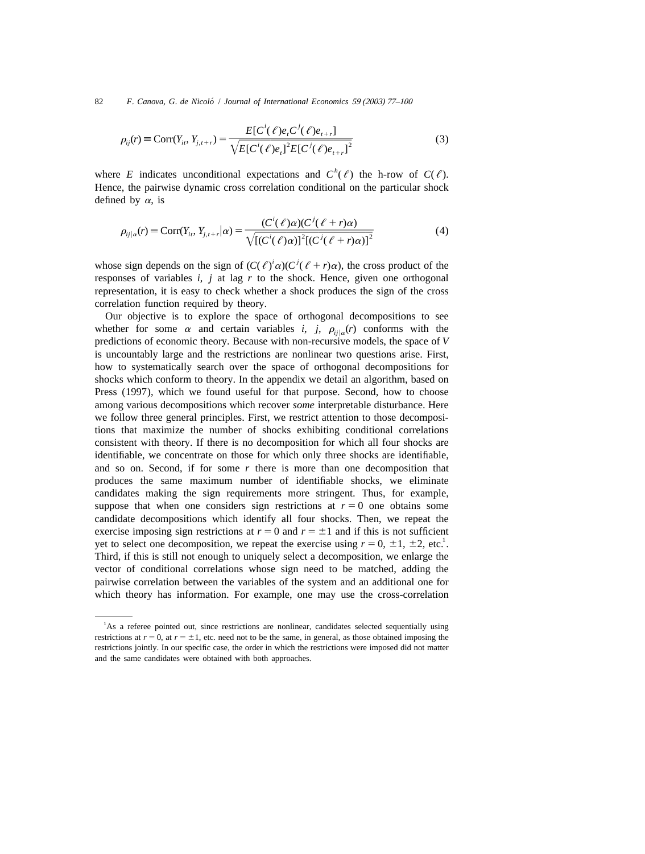82 *F*. *Canova*, *G*. *de Nicolo´* / *Journal of International Economics* 59 (2003) 77–100

$$
\rho_{ij}(r) \equiv \text{Corr}(Y_{i}, Y_{j,t+r}) = \frac{E[C^{i}(\ell)\mathcal{e}_{i}C^{j}(\ell)\mathcal{e}_{t+r}]}{\sqrt{E[C^{i}(\ell)\mathcal{e}_{i}]}^{2}E[C^{j}(\ell)\mathcal{e}_{t+r}]} \tag{3}
$$

where *E* indicates unconditional expectations and  $C^h(\ell)$  the h-row of  $C(\ell)$ . Hence, the pairwise dynamic cross correlation conditional on the particular shock defined by  $\alpha$ , is

$$
\rho_{ij|\alpha}(r) \equiv \text{Corr}(Y_{it}, Y_{j,t+r}|\alpha) = \frac{(C^i(\ell)\alpha)(C^j(\ell+r)\alpha)}{\sqrt{[(C^i(\ell)\alpha)]^2[(C^j(\ell+r)\alpha)]^2}}
$$
(4)

whose sign depends on the sign of  $(C(\ell)^{l} \alpha)(C^{l}(\ell + r)\alpha)$ , the cross product of the responses of variables *i*, *j* at lag *r* to the shock. Hence, given one orthogonal representation, it is easy to check whether a shock produces the sign of the cross correlation function required by theory.

Our objective is to explore the space of orthogonal decompositions to see whether for some  $\alpha$  and certain variables *i*, *j*,  $\rho_{ij}(\alpha r)$  conforms with the predictions of economic theory. Because with non-recursive models, the space of *V* is uncountably large and the restrictions are nonlinear two questions arise. First, how to systematically search over the space of orthogonal decompositions for shocks which conform to theory. In the appendix we detail an algorithm, based on Press (1997), which we found useful for that purpose. Second, how to choose among various decompositions which recover *some* interpretable disturbance. Here we follow three general principles. First, we restrict attention to those decompositions that maximize the number of shocks exhibiting conditional correlations consistent with theory. If there is no decomposition for which all four shocks are identifiable, we concentrate on those for which only three shocks are identifiable, and so on. Second, if for some *r* there is more than one decomposition that produces the same maximum number of identifiable shocks, we eliminate candidates making the sign requirements more stringent. Thus, for example, suppose that when one considers sign restrictions at  $r = 0$  one obtains some candidate decompositions which identify all four shocks. Then, we repeat the exercise imposing sign restrictions at  $r = 0$  and  $r = \pm 1$  and if this is not sufficient yet to select one decomposition, we repeat the exercise using  $r = 0, \pm 1, \pm 2, \text{ etc.}^1$ . Third, if this is still not enough to uniquely select a decomposition, we enlarge the vector of conditional correlations whose sign need to be matched, adding the pairwise correlation between the variables of the system and an additional one for which theory has information. For example, one may use the cross-correlation

<sup>&</sup>lt;sup>1</sup>As a referee pointed out, since restrictions are nonlinear, candidates selected sequentially using restrictions at  $r = 0$ , at  $r = \pm 1$ , etc. need not to be the same, in general, as those obtained imposing the restrictions jointly. In our specific case, the order in which the restrictions were imposed did not matter and the same candidates were obtained with both approaches.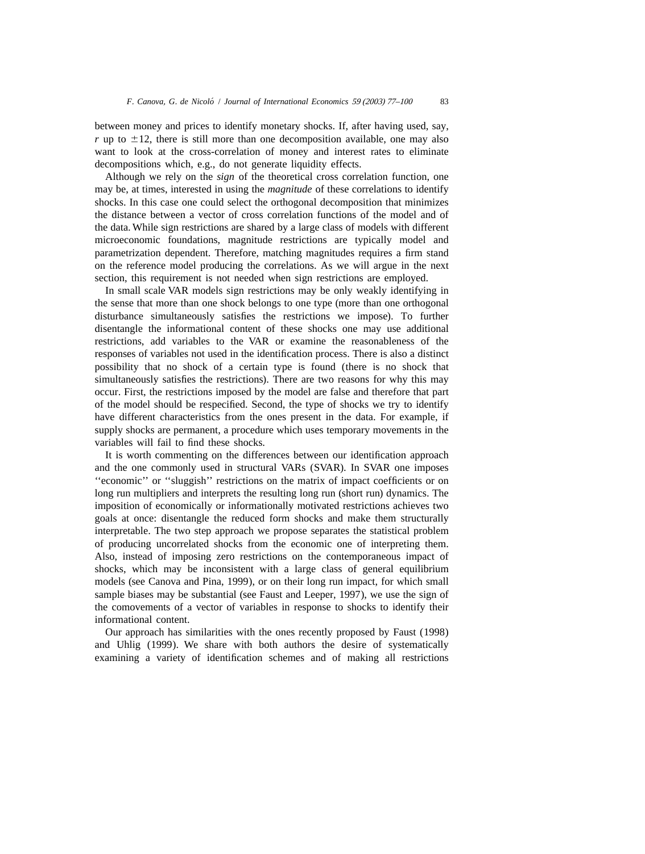between money and prices to identify monetary shocks. If, after having used, say, *r* up to  $\pm 12$ , there is still more than one decomposition available, one may also want to look at the cross-correlation of money and interest rates to eliminate decompositions which, e.g., do not generate liquidity effects.

Although we rely on the *sign* of the theoretical cross correlation function, one may be, at times, interested in using the *magnitude* of these correlations to identify shocks. In this case one could select the orthogonal decomposition that minimizes the distance between a vector of cross correlation functions of the model and of the data. While sign restrictions are shared by a large class of models with different microeconomic foundations, magnitude restrictions are typically model and parametrization dependent. Therefore, matching magnitudes requires a firm stand on the reference model producing the correlations. As we will argue in the next section, this requirement is not needed when sign restrictions are employed.

In small scale VAR models sign restrictions may be only weakly identifying in the sense that more than one shock belongs to one type (more than one orthogonal disturbance simultaneously satisfies the restrictions we impose). To further disentangle the informational content of these shocks one may use additional restrictions, add variables to the VAR or examine the reasonableness of the responses of variables not used in the identification process. There is also a distinct possibility that no shock of a certain type is found (there is no shock that simultaneously satisfies the restrictions). There are two reasons for why this may occur. First, the restrictions imposed by the model are false and therefore that part of the model should be respecified. Second, the type of shocks we try to identify have different characteristics from the ones present in the data. For example, if supply shocks are permanent, a procedure which uses temporary movements in the variables will fail to find these shocks.

It is worth commenting on the differences between our identification approach and the one commonly used in structural VARs (SVAR). In SVAR one imposes ''economic'' or ''sluggish'' restrictions on the matrix of impact coefficients or on long run multipliers and interprets the resulting long run (short run) dynamics. The imposition of economically or informationally motivated restrictions achieves two goals at once: disentangle the reduced form shocks and make them structurally interpretable. The two step approach we propose separates the statistical problem of producing uncorrelated shocks from the economic one of interpreting them. Also, instead of imposing zero restrictions on the contemporaneous impact of shocks, which may be inconsistent with a large class of general equilibrium models (see Canova and Pina, 1999), or on their long run impact, for which small sample biases may be substantial (see Faust and Leeper, 1997), we use the sign of the comovements of a vector of variables in response to shocks to identify their informational content.

Our approach has similarities with the ones recently proposed by Faust (1998) and Uhlig (1999). We share with both authors the desire of systematically examining a variety of identification schemes and of making all restrictions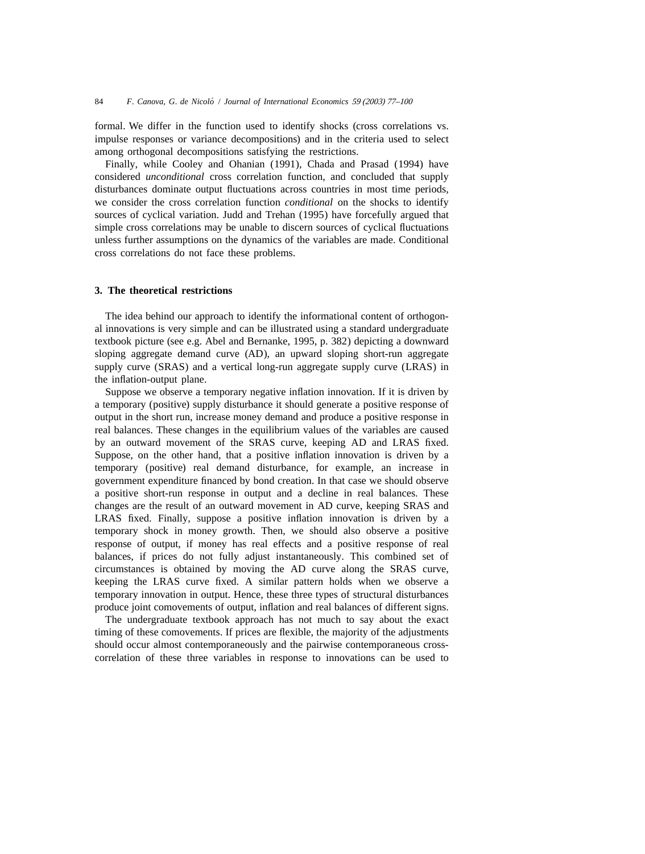formal. We differ in the function used to identify shocks (cross correlations vs. impulse responses or variance decompositions) and in the criteria used to select among orthogonal decompositions satisfying the restrictions.

Finally, while Cooley and Ohanian (1991), Chada and Prasad (1994) have considered *unconditional* cross correlation function, and concluded that supply disturbances dominate output fluctuations across countries in most time periods, we consider the cross correlation function *conditional* on the shocks to identify sources of cyclical variation. Judd and Trehan (1995) have forcefully argued that simple cross correlations may be unable to discern sources of cyclical fluctuations unless further assumptions on the dynamics of the variables are made. Conditional cross correlations do not face these problems.

# **3. The theoretical restrictions**

The idea behind our approach to identify the informational content of orthogonal innovations is very simple and can be illustrated using a standard undergraduate textbook picture (see e.g. Abel and Bernanke, 1995, p. 382) depicting a downward sloping aggregate demand curve (AD), an upward sloping short-run aggregate supply curve (SRAS) and a vertical long-run aggregate supply curve (LRAS) in the inflation-output plane.

Suppose we observe a temporary negative inflation innovation. If it is driven by a temporary (positive) supply disturbance it should generate a positive response of output in the short run, increase money demand and produce a positive response in real balances. These changes in the equilibrium values of the variables are caused by an outward movement of the SRAS curve, keeping AD and LRAS fixed. Suppose, on the other hand, that a positive inflation innovation is driven by a temporary (positive) real demand disturbance, for example, an increase in government expenditure financed by bond creation. In that case we should observe a positive short-run response in output and a decline in real balances. These changes are the result of an outward movement in AD curve, keeping SRAS and LRAS fixed. Finally, suppose a positive inflation innovation is driven by a temporary shock in money growth. Then, we should also observe a positive response of output, if money has real effects and a positive response of real balances, if prices do not fully adjust instantaneously. This combined set of circumstances is obtained by moving the AD curve along the SRAS curve, keeping the LRAS curve fixed. A similar pattern holds when we observe a temporary innovation in output. Hence, these three types of structural disturbances produce joint comovements of output, inflation and real balances of different signs.

The undergraduate textbook approach has not much to say about the exact timing of these comovements. If prices are flexible, the majority of the adjustments should occur almost contemporaneously and the pairwise contemporaneous crosscorrelation of these three variables in response to innovations can be used to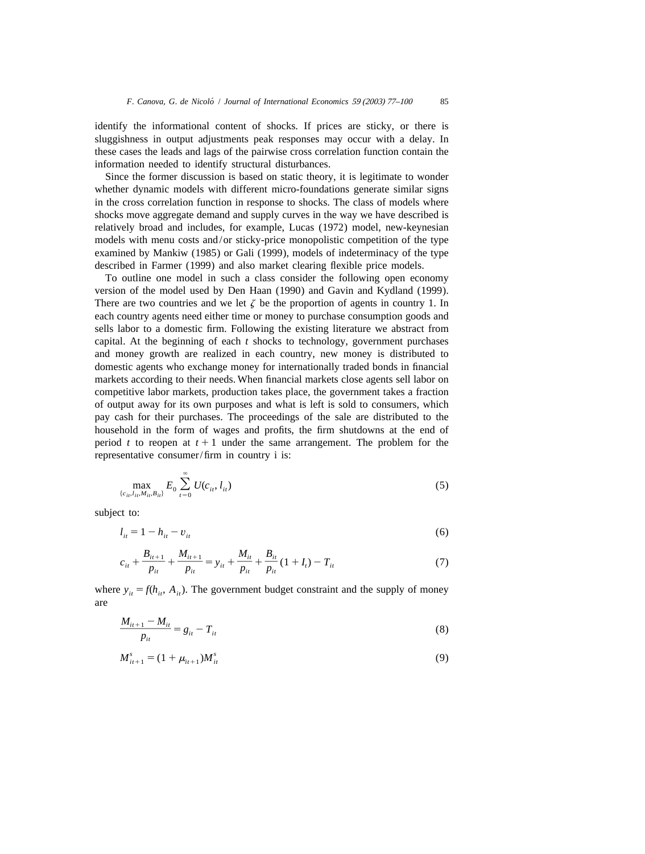identify the informational content of shocks. If prices are sticky, or there is sluggishness in output adjustments peak responses may occur with a delay. In these cases the leads and lags of the pairwise cross correlation function contain the information needed to identify structural disturbances.

Since the former discussion is based on static theory, it is legitimate to wonder whether dynamic models with different micro-foundations generate similar signs in the cross correlation function in response to shocks. The class of models where shocks move aggregate demand and supply curves in the way we have described is relatively broad and includes, for example, Lucas (1972) model, new-keynesian models with menu costs and/or sticky-price monopolistic competition of the type examined by Mankiw (1985) or Gali (1999), models of indeterminacy of the type described in Farmer (1999) and also market clearing flexible price models.

To outline one model in such a class consider the following open economy version of the model used by Den Haan (1990) and Gavin and Kydland (1999). There are two countries and we let  $\zeta$  be the proportion of agents in country 1. In each country agents need either time or money to purchase consumption goods and sells labor to a domestic firm. Following the existing literature we abstract from capital. At the beginning of each *t* shocks to technology, government purchases and money growth are realized in each country, new money is distributed to domestic agents who exchange money for internationally traded bonds in financial markets according to their needs. When financial markets close agents sell labor on competitive labor markets, production takes place, the government takes a fraction of output away for its own purposes and what is left is sold to consumers, which pay cash for their purchases. The proceedings of the sale are distributed to the household in the form of wages and profits, the firm shutdowns at the end of period  $t$  to reopen at  $t + 1$  under the same arrangement. The problem for the representative consumer/firm in country i is:

$$
\max_{\{c_{ii}, l_{ii}, M_{ii}, B_{ii}\}} E_0 \sum_{t=0}^{\infty} U(c_{ii}, l_{it})
$$
\n(5)

subject to:

$$
l_{it} = 1 - h_{it} - v_{it}
$$
 (6)

$$
c_{it} + \frac{B_{it+1}}{p_{it}} + \frac{M_{it+1}}{p_{it}} = y_{it} + \frac{M_{it}}{p_{it}} + \frac{B_{it}}{p_{it}} (1 + I_t) - T_{it}
$$
(7)

where  $y_i = f(h_i, A_i)$ . The government budget constraint and the supply of money are

$$
\frac{M_{it+1} - M_{it}}{p_{it}} = g_{it} - T_{it}
$$
\n(8)

$$
M_{it+1}^s = (1 + \mu_{it+1})M_{it}^s \tag{9}
$$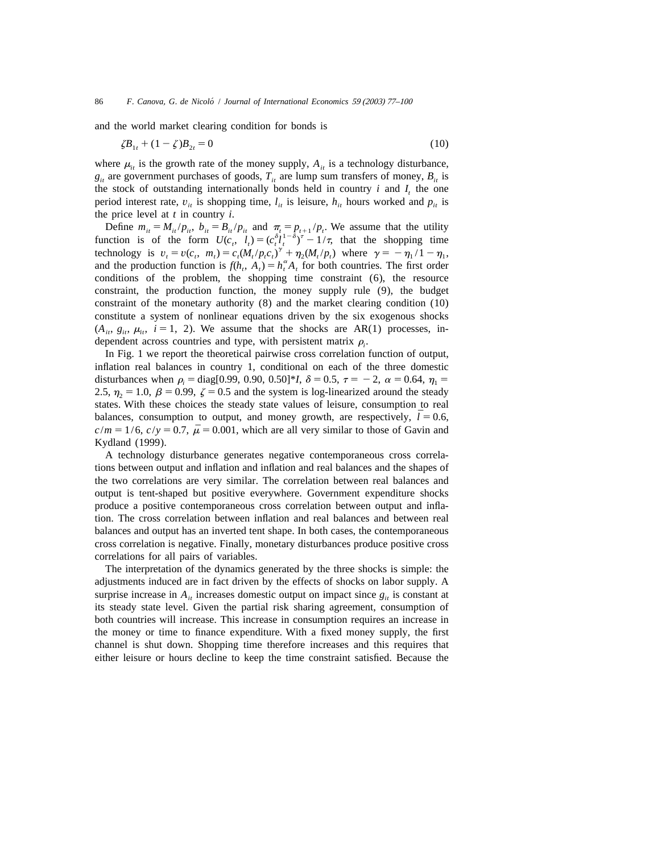and the world market clearing condition for bonds is

$$
\zeta B_{1t} + (1 - \zeta)B_{2t} = 0 \tag{10}
$$

where  $\mu_{it}$  is the growth rate of the money supply,  $A_{it}$  is a technology disturbance,  $g_{it}$  are government purchases of goods,  $T_{it}$  are lump sum transfers of money,  $B_{it}$  is the stock of outstanding internationally bonds held in country  $i$  and  $I_t$  the one period interest rate,  $v_{it}$  is shopping time,  $l_{it}$  is leisure,  $h_{it}$  hours worked and  $p_{it}$  is the price level at *t* in country *i*.

Define  $m_{it} = M_{it}/p_{it}$ ,  $b_{it} = B_{it}/p_{it}$  and  $\pi_t = p_{t+1}/p_t$ . We assume that the utility function is of the form  $U(c_t, l_t) = (c_t^{\delta}l_t^{1-\delta})^{\tau} - 1/\tau$ , that the shopping time technology is  $v_t = v(c_t, m_t) = c_t (M_t / p_t c_t)^{\gamma} + \eta_2 (M_t / p_t)$  where  $\gamma = -\eta_1 / 1 - \eta_1$ , and the production function is  $f(h, A) = h^{\alpha}_{A} A$ , for both countries. The first order conditions of the problem, the shopping time constraint (6), the resource constraint, the production function, the money supply rule (9), the budget constraint of the monetary authority (8) and the market clearing condition (10) constitute a system of nonlinear equations driven by the six exogenous shocks  $(A_{ii}, g_{ii}, \mu_{ii}, i = 1, 2)$ . We assume that the shocks are AR(1) processes, independent across countries and type, with persistent matrix  $\rho_i$ .

In Fig. 1 we report the theoretical pairwise cross correlation function of output, inflation real balances in country 1, conditional on each of the three domestic disturbances when  $\rho_i = \text{diag}[0.99, 0.90, 0.50]^*$ *I*,  $\delta = 0.5$ ,  $\tau = -2$ ,  $\alpha = 0.64$ ,  $\eta_1 =$ 2.5,  $\eta_2 = 1.0$ ,  $\beta = 0.99$ ,  $\zeta = 0.5$  and the system is log-linearized around the steady states. With these choices the steady state values of leisure, consumption to real balances, consumption to output, and money growth, are respectively,  $\bar{l} = 0.6$ ,  $c/m = 1/6$ ,  $c/v = 0.7$ ,  $\bar{\mu} = 0.001$ , which are all very similar to those of Gavin and Kydland (1999).

A technology disturbance generates negative contemporaneous cross correlations between output and inflation and inflation and real balances and the shapes of the two correlations are very similar. The correlation between real balances and output is tent-shaped but positive everywhere. Government expenditure shocks produce a positive contemporaneous cross correlation between output and inflation. The cross correlation between inflation and real balances and between real balances and output has an inverted tent shape. In both cases, the contemporaneous cross correlation is negative. Finally, monetary disturbances produce positive cross correlations for all pairs of variables.

The interpretation of the dynamics generated by the three shocks is simple: the adjustments induced are in fact driven by the effects of shocks on labor supply. A surprise increase in  $A_{ii}$  increases domestic output on impact since  $g_{ii}$  is constant at its steady state level. Given the partial risk sharing agreement, consumption of both countries will increase. This increase in consumption requires an increase in the money or time to finance expenditure. With a fixed money supply, the first channel is shut down. Shopping time therefore increases and this requires that either leisure or hours decline to keep the time constraint satisfied. Because the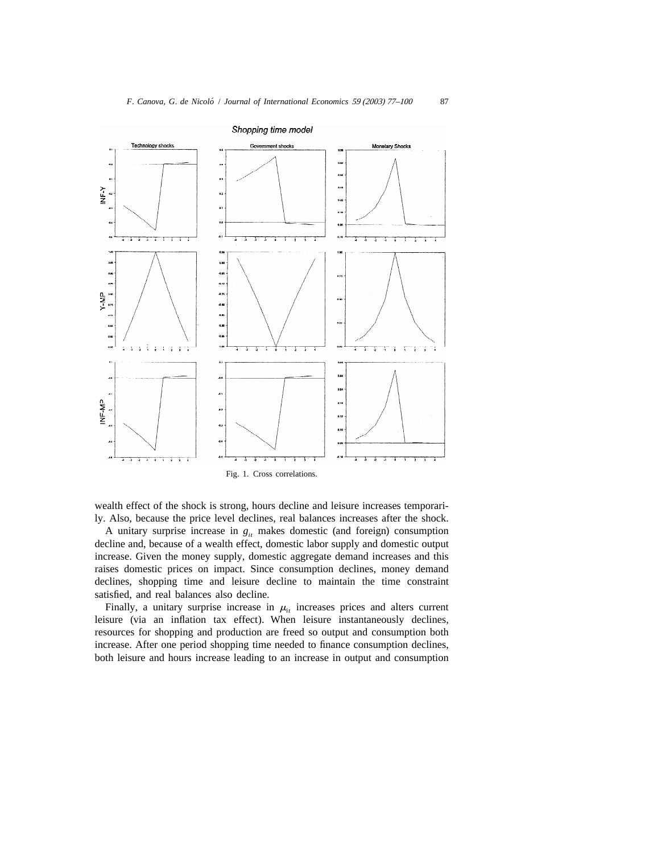

Shopping time model

wealth effect of the shock is strong, hours decline and leisure increases temporarily. Also, because the price level declines, real balances increases after the shock.

A unitary surprise increase in  $g_{it}$  makes domestic (and foreign) consumption decline and, because of a wealth effect, domestic labor supply and domestic output increase. Given the money supply, domestic aggregate demand increases and this raises domestic prices on impact. Since consumption declines, money demand declines, shopping time and leisure decline to maintain the time constraint satisfied, and real balances also decline.

Finally, a unitary surprise increase in  $\mu_{it}$  increases prices and alters current leisure (via an inflation tax effect). When leisure instantaneously declines, resources for shopping and production are freed so output and consumption both increase. After one period shopping time needed to finance consumption declines, both leisure and hours increase leading to an increase in output and consumption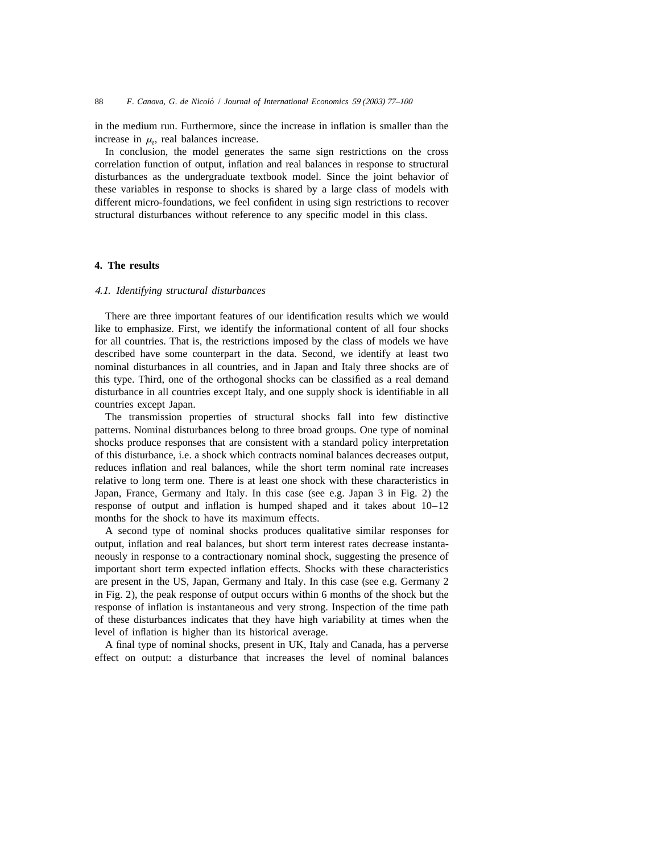in the medium run. Furthermore, since the increase in inflation is smaller than the increase in  $\mu$ , real balances increase.

In conclusion, the model generates the same sign restrictions on the cross correlation function of output, inflation and real balances in response to structural disturbances as the undergraduate textbook model. Since the joint behavior of these variables in response to shocks is shared by a large class of models with different micro-foundations, we feel confident in using sign restrictions to recover structural disturbances without reference to any specific model in this class.

# **4. The results**

#### 4 .1. *Identifying structural disturbances*

There are three important features of our identification results which we would like to emphasize. First, we identify the informational content of all four shocks for all countries. That is, the restrictions imposed by the class of models we have described have some counterpart in the data. Second, we identify at least two nominal disturbances in all countries, and in Japan and Italy three shocks are of this type. Third, one of the orthogonal shocks can be classified as a real demand disturbance in all countries except Italy, and one supply shock is identifiable in all countries except Japan.

The transmission properties of structural shocks fall into few distinctive patterns. Nominal disturbances belong to three broad groups. One type of nominal shocks produce responses that are consistent with a standard policy interpretation of this disturbance, i.e. a shock which contracts nominal balances decreases output, reduces inflation and real balances, while the short term nominal rate increases relative to long term one. There is at least one shock with these characteristics in Japan, France, Germany and Italy. In this case (see e.g. Japan 3 in Fig. 2) the response of output and inflation is humped shaped and it takes about 10–12 months for the shock to have its maximum effects.

A second type of nominal shocks produces qualitative similar responses for output, inflation and real balances, but short term interest rates decrease instantaneously in response to a contractionary nominal shock, suggesting the presence of important short term expected inflation effects. Shocks with these characteristics are present in the US, Japan, Germany and Italy. In this case (see e.g. Germany 2 in Fig. 2), the peak response of output occurs within 6 months of the shock but the response of inflation is instantaneous and very strong. Inspection of the time path of these disturbances indicates that they have high variability at times when the level of inflation is higher than its historical average.

A final type of nominal shocks, present in UK, Italy and Canada, has a perverse effect on output: a disturbance that increases the level of nominal balances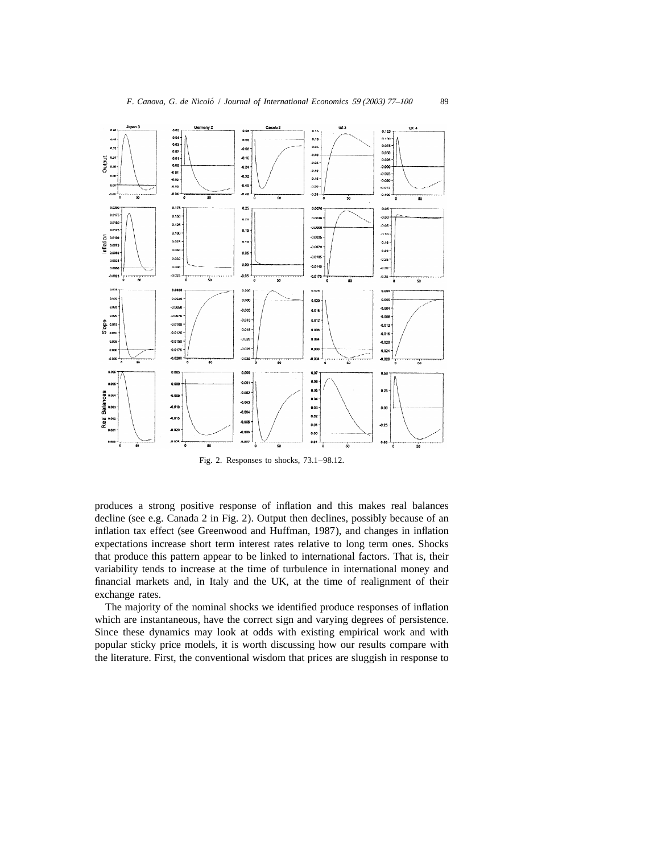

Fig. 2. Responses to shocks, 73.1–98.12.

produces a strong positive response of inflation and this makes real balances decline (see e.g. Canada 2 in Fig. 2). Output then declines, possibly because of an inflation tax effect (see Greenwood and Huffman, 1987), and changes in inflation expectations increase short term interest rates relative to long term ones. Shocks that produce this pattern appear to be linked to international factors. That is, their variability tends to increase at the time of turbulence in international money and financial markets and, in Italy and the UK, at the time of realignment of their exchange rates.

The majority of the nominal shocks we identified produce responses of inflation which are instantaneous, have the correct sign and varying degrees of persistence. Since these dynamics may look at odds with existing empirical work and with popular sticky price models, it is worth discussing how our results compare with the literature. First, the conventional wisdom that prices are sluggish in response to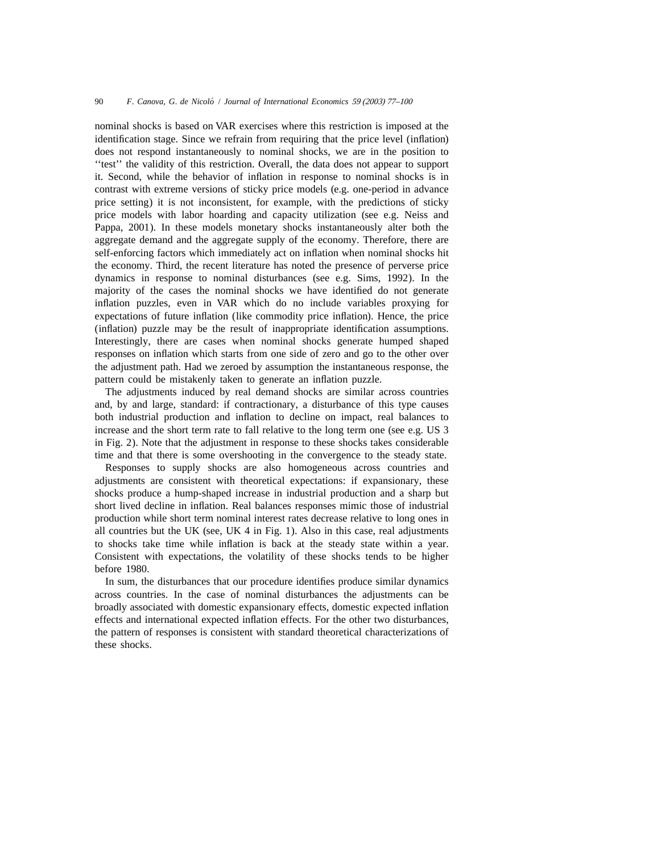nominal shocks is based on VAR exercises where this restriction is imposed at the identification stage. Since we refrain from requiring that the price level (inflation) does not respond instantaneously to nominal shocks, we are in the position to ''test'' the validity of this restriction. Overall, the data does not appear to support it. Second, while the behavior of inflation in response to nominal shocks is in contrast with extreme versions of sticky price models (e.g. one-period in advance price setting) it is not inconsistent, for example, with the predictions of sticky price models with labor hoarding and capacity utilization (see e.g. Neiss and Pappa, 2001). In these models monetary shocks instantaneously alter both the aggregate demand and the aggregate supply of the economy. Therefore, there are self-enforcing factors which immediately act on inflation when nominal shocks hit the economy. Third, the recent literature has noted the presence of perverse price dynamics in response to nominal disturbances (see e.g. Sims, 1992). In the majority of the cases the nominal shocks we have identified do not generate inflation puzzles, even in VAR which do no include variables proxying for expectations of future inflation (like commodity price inflation). Hence, the price (inflation) puzzle may be the result of inappropriate identification assumptions. Interestingly, there are cases when nominal shocks generate humped shaped responses on inflation which starts from one side of zero and go to the other over the adjustment path. Had we zeroed by assumption the instantaneous response, the pattern could be mistakenly taken to generate an inflation puzzle.

The adjustments induced by real demand shocks are similar across countries and, by and large, standard: if contractionary, a disturbance of this type causes both industrial production and inflation to decline on impact, real balances to increase and the short term rate to fall relative to the long term one (see e.g. US 3 in Fig. 2). Note that the adjustment in response to these shocks takes considerable time and that there is some overshooting in the convergence to the steady state.

Responses to supply shocks are also homogeneous across countries and adjustments are consistent with theoretical expectations: if expansionary, these shocks produce a hump-shaped increase in industrial production and a sharp but short lived decline in inflation. Real balances responses mimic those of industrial production while short term nominal interest rates decrease relative to long ones in all countries but the UK (see, UK  $4$  in Fig. 1). Also in this case, real adjustments to shocks take time while inflation is back at the steady state within a year. Consistent with expectations, the volatility of these shocks tends to be higher before 1980.

In sum, the disturbances that our procedure identifies produce similar dynamics across countries. In the case of nominal disturbances the adjustments can be broadly associated with domestic expansionary effects, domestic expected inflation effects and international expected inflation effects. For the other two disturbances, the pattern of responses is consistent with standard theoretical characterizations of these shocks.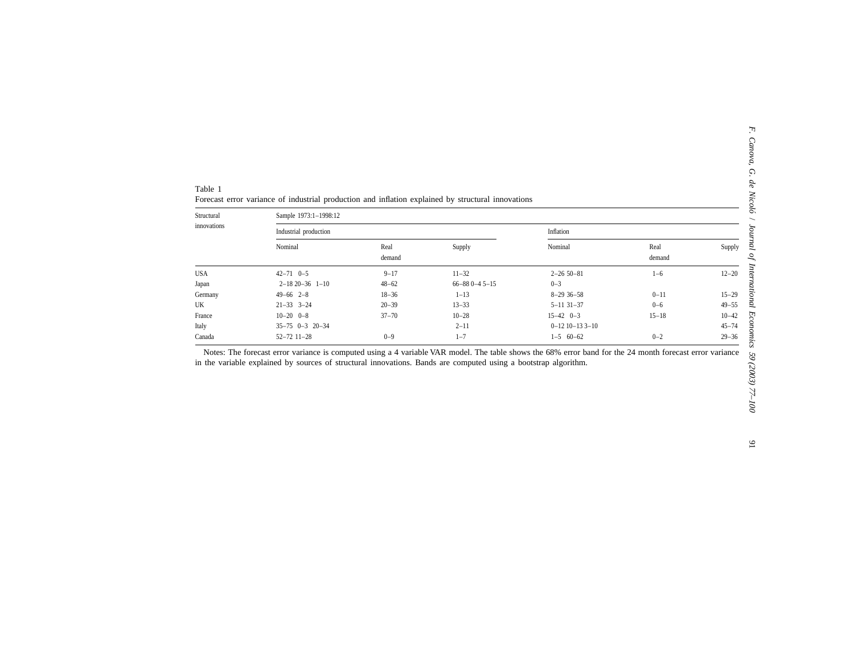| Table 1                                                                                            |  |  |  |
|----------------------------------------------------------------------------------------------------|--|--|--|
| Forecast error variance of industrial production and inflation explained by structural innovations |  |  |  |

| Structural<br>innovations | Sample 1973:1-1998:12 |                |                      |                             |                |           |  |  |  |  |
|---------------------------|-----------------------|----------------|----------------------|-----------------------------|----------------|-----------|--|--|--|--|
|                           | Industrial production |                |                      | Inflation                   |                |           |  |  |  |  |
|                           | Nominal               | Real<br>demand | Supply               | Nominal                     | Real<br>demand | Supply    |  |  |  |  |
| <b>USA</b>                | $42 - 71$ 0-5         | $9 - 17$       | $11 - 32$            | $2 - 2650 - 81$             | $1 - 6$        | $12 - 20$ |  |  |  |  |
| Japan                     | $2-1820-36$ 1-10      | $48 - 62$      | $66 - 880 - 45 - 15$ | $0 - 3$                     |                |           |  |  |  |  |
| Germany                   | $49-66$ $2-8$         | $18 - 36$      | $1 - 13$             | $8-29$ 36-58                | $0 - 11$       | $15 - 29$ |  |  |  |  |
| UK                        | $21 - 33$ $3 - 24$    | $20 - 39$      | $13 - 33$            | $5 - 11$ $31 - 37$          | $0 - 6$        | $49 - 55$ |  |  |  |  |
| France                    | $10-20$ $0-8$         | $37 - 70$      | $10 - 28$            | $15-42$ 0-3                 | $15 - 18$      | $10 - 42$ |  |  |  |  |
| Italy                     | $35-75$ 0-3 20-34     |                | $2 - 11$             | $0 - 12$ 10 $- 13$ 3 $- 10$ |                | $45 - 74$ |  |  |  |  |
| Canada                    | $52 - 72$ 11 - 28     | $0 - 9$        | $1 - 7$              | $1 - 5 \quad 60 - 62$       | $0 - 2$        | $29 - 36$ |  |  |  |  |

Notes: The forecast error variance is computed using <sup>a</sup> 4 variable VAR model. The table shows the 68% error band for the 24 month forecast error variance in the variable explained by sources of structural innovations. Bands are computed using <sup>a</sup> bootstrap algorithm.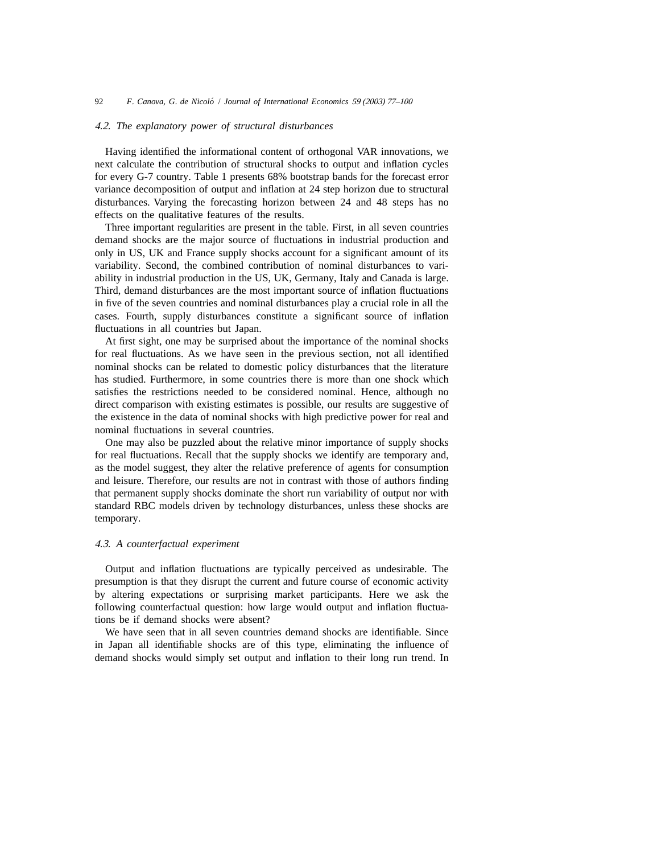# 4 .2. *The explanatory power of structural disturbances*

Having identified the informational content of orthogonal VAR innovations, we next calculate the contribution of structural shocks to output and inflation cycles for every G-7 country. Table 1 presents 68% bootstrap bands for the forecast error variance decomposition of output and inflation at 24 step horizon due to structural disturbances. Varying the forecasting horizon between 24 and 48 steps has no effects on the qualitative features of the results.

Three important regularities are present in the table. First, in all seven countries demand shocks are the major source of fluctuations in industrial production and only in US, UK and France supply shocks account for a significant amount of its variability. Second, the combined contribution of nominal disturbances to variability in industrial production in the US, UK, Germany, Italy and Canada is large. Third, demand disturbances are the most important source of inflation fluctuations in five of the seven countries and nominal disturbances play a crucial role in all the cases. Fourth, supply disturbances constitute a significant source of inflation fluctuations in all countries but Japan.

At first sight, one may be surprised about the importance of the nominal shocks for real fluctuations. As we have seen in the previous section, not all identified nominal shocks can be related to domestic policy disturbances that the literature has studied. Furthermore, in some countries there is more than one shock which satisfies the restrictions needed to be considered nominal. Hence, although no direct comparison with existing estimates is possible, our results are suggestive of the existence in the data of nominal shocks with high predictive power for real and nominal fluctuations in several countries.

One may also be puzzled about the relative minor importance of supply shocks for real fluctuations. Recall that the supply shocks we identify are temporary and, as the model suggest, they alter the relative preference of agents for consumption and leisure. Therefore, our results are not in contrast with those of authors finding that permanent supply shocks dominate the short run variability of output nor with standard RBC models driven by technology disturbances, unless these shocks are temporary.

# 4 .3. *A counterfactual experiment*

Output and inflation fluctuations are typically perceived as undesirable. The presumption is that they disrupt the current and future course of economic activity by altering expectations or surprising market participants. Here we ask the following counterfactual question: how large would output and inflation fluctuations be if demand shocks were absent?

We have seen that in all seven countries demand shocks are identifiable. Since in Japan all identifiable shocks are of this type, eliminating the influence of demand shocks would simply set output and inflation to their long run trend. In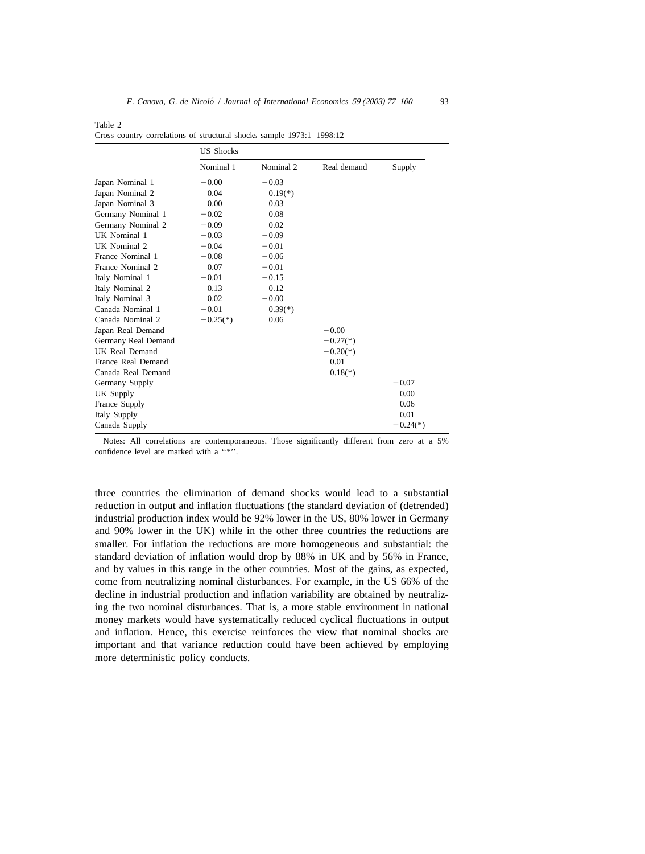|                     | <b>US</b> Shocks |           |                        |            |
|---------------------|------------------|-----------|------------------------|------------|
|                     | Nominal 1        | Nominal 2 | Real demand            | Supply     |
| Japan Nominal 1     | $-0.00$          | $-0.03$   |                        |            |
| Japan Nominal 2     | 0.04             | $0.19(*)$ |                        |            |
| Japan Nominal 3     | 0.00             | 0.03      |                        |            |
| Germany Nominal 1   | $-0.02$          | 0.08      |                        |            |
| Germany Nominal 2   | $-0.09$          | 0.02      |                        |            |
| UK Nominal 1        | $-0.03$          | $-0.09$   |                        |            |
| UK Nominal 2        | $-0.04$          | $-0.01$   |                        |            |
| France Nominal 1    | $-0.08$          | $-0.06$   |                        |            |
| France Nominal 2    | 0.07             | $-0.01$   |                        |            |
| Italy Nominal 1     | $-0.01$          | $-0.15$   |                        |            |
| Italy Nominal 2     | 0.13             | 0.12      |                        |            |
| Italy Nominal 3     | 0.02             | $-0.00$   |                        |            |
| Canada Nominal 1    | $-0.01$          | $0.39(*)$ |                        |            |
| Canada Nominal 2    | $-0.25(*)$       | 0.06      |                        |            |
| Japan Real Demand   |                  |           | $-0.00$                |            |
| Germany Real Demand |                  |           | $-0.27$ <sup>*</sup> ) |            |
| UK Real Demand      |                  |           | $-0.20(*)$             |            |
| France Real Demand  |                  |           | 0.01                   |            |
| Canada Real Demand  |                  |           | $0.18(*)$              |            |
| Germany Supply      |                  |           |                        | $-0.07$    |
| UK Supply           |                  |           |                        | 0.00       |
| France Supply       |                  |           |                        | 0.06       |
| Italy Supply        |                  |           |                        | 0.01       |
| Canada Supply       |                  |           |                        | $-0.24(*)$ |

| -------- |  |  |  |                                                                       |  |
|----------|--|--|--|-----------------------------------------------------------------------|--|
|          |  |  |  | Cross country correlations of structural shocks sample 1973:1-1998:12 |  |

Table 2

Notes: All correlations are contemporaneous. Those significantly different from zero at a 5% confidence level are marked with a "\*".

three countries the elimination of demand shocks would lead to a substantial reduction in output and inflation fluctuations (the standard deviation of (detrended) industrial production index would be 92% lower in the US, 80% lower in Germany and 90% lower in the UK) while in the other three countries the reductions are smaller. For inflation the reductions are more homogeneous and substantial: the standard deviation of inflation would drop by 88% in UK and by 56% in France, and by values in this range in the other countries. Most of the gains, as expected, come from neutralizing nominal disturbances. For example, in the US 66% of the decline in industrial production and inflation variability are obtained by neutralizing the two nominal disturbances. That is, a more stable environment in national money markets would have systematically reduced cyclical fluctuations in output and inflation. Hence, this exercise reinforces the view that nominal shocks are important and that variance reduction could have been achieved by employing more deterministic policy conducts.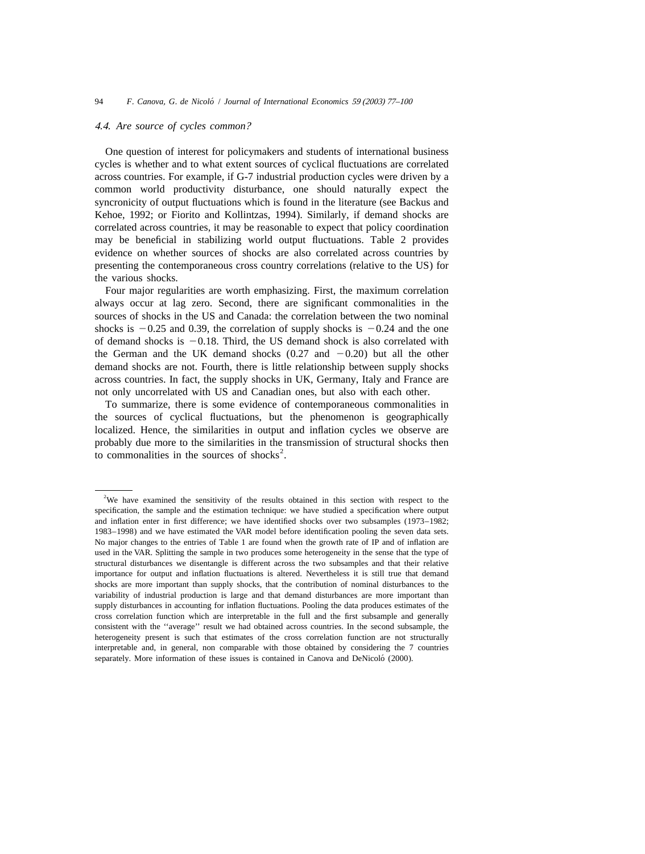# 4 .4. *Are source of cycles common*?

One question of interest for policymakers and students of international business cycles is whether and to what extent sources of cyclical fluctuations are correlated across countries. For example, if G-7 industrial production cycles were driven by a common world productivity disturbance, one should naturally expect the syncronicity of output fluctuations which is found in the literature (see Backus and Kehoe, 1992; or Fiorito and Kollintzas, 1994). Similarly, if demand shocks are correlated across countries, it may be reasonable to expect that policy coordination may be beneficial in stabilizing world output fluctuations. Table 2 provides evidence on whether sources of shocks are also correlated across countries by presenting the contemporaneous cross country correlations (relative to the US) for the various shocks.

Four major regularities are worth emphasizing. First, the maximum correlation always occur at lag zero. Second, there are significant commonalities in the sources of shocks in the US and Canada: the correlation between the two nominal shocks is  $-0.25$  and 0.39, the correlation of supply shocks is  $-0.24$  and the one of demand shocks is  $-0.18$ . Third, the US demand shock is also correlated with the German and the UK demand shocks  $(0.27 \text{ and } -0.20)$  but all the other demand shocks are not. Fourth, there is little relationship between supply shocks across countries. In fact, the supply shocks in UK, Germany, Italy and France are not only uncorrelated with US and Canadian ones, but also with each other.

To summarize, there is some evidence of contemporaneous commonalities in the sources of cyclical fluctuations, but the phenomenon is geographically localized. Hence, the similarities in output and inflation cycles we observe are probably due more to the similarities in the transmission of structural shocks then to commonalities in the sources of shocks<sup>2</sup>.

<sup>&</sup>lt;sup>2</sup>We have examined the sensitivity of the results obtained in this section with respect to the specification, the sample and the estimation technique: we have studied a specification where output and inflation enter in first difference; we have identified shocks over two subsamples (1973–1982; 1983–1998) and we have estimated the VAR model before identification pooling the seven data sets. No major changes to the entries of Table 1 are found when the growth rate of IP and of inflation are used in the VAR. Splitting the sample in two produces some heterogeneity in the sense that the type of structural disturbances we disentangle is different across the two subsamples and that their relative importance for output and inflation fluctuations is altered. Nevertheless it is still true that demand shocks are more important than supply shocks, that the contribution of nominal disturbances to the variability of industrial production is large and that demand disturbances are more important than supply disturbances in accounting for inflation fluctuations. Pooling the data produces estimates of the cross correlation function which are interpretable in the full and the first subsample and generally consistent with the ''average'' result we had obtained across countries. In the second subsample, the heterogeneity present is such that estimates of the cross correlation function are not structurally interpretable and, in general, non comparable with those obtained by considering the 7 countries separately. More information of these issues is contained in Canova and DeNicoló (2000).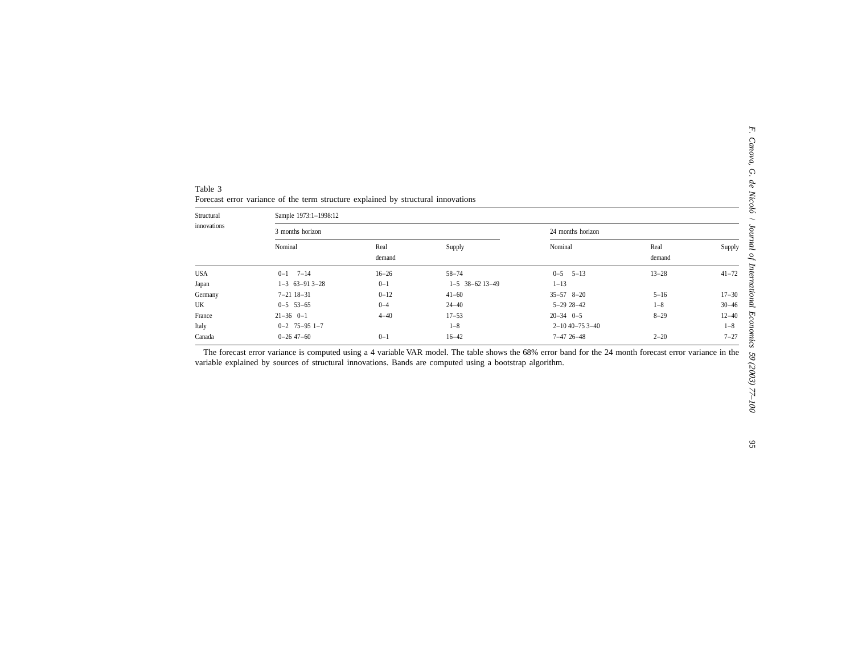| Table 3 |  |  |  |  |                                                                                   |  |
|---------|--|--|--|--|-----------------------------------------------------------------------------------|--|
|         |  |  |  |  | Forecast error variance of the term structure explained by structural innovations |  |

| Structural<br>innovations | Sample 1973:1-1998:12 |                |                     |                       |                |           |  |  |  |  |
|---------------------------|-----------------------|----------------|---------------------|-----------------------|----------------|-----------|--|--|--|--|
|                           | 3 months horizon      |                | 24 months horizon   |                       |                |           |  |  |  |  |
|                           | Nominal               | Real<br>demand | Supply              | Nominal               | Real<br>demand | Supply    |  |  |  |  |
| <b>USA</b>                | $7 - 14$<br>$0 - 1$   | $16 - 26$      | $58 - 74$           | $0 - 5$ 5-13          | $13 - 28$      | $41 - 72$ |  |  |  |  |
| Japan                     | $1 - 3$ 63-91 3-28    | $0 - 1$        | $1 - 5$ 38-62 13-49 | $1 - 13$              |                |           |  |  |  |  |
| Germany                   | $7 - 21$ 18 $-31$     | $0 - 12$       | $41 - 60$           | $35 - 57$ $8 - 20$    | $5 - 16$       | $17 - 30$ |  |  |  |  |
| UK                        | $0 - 5$ 53-65         | $0 - 4$        | $24 - 40$           | $5 - 29$ 28 - 42      | $1 - 8$        | $30 - 46$ |  |  |  |  |
| France                    | $21 - 36$ $0 - 1$     | $4 - 40$       | $17 - 53$           | $20 - 34$ $0 - 5$     | $8 - 29$       | $12 - 40$ |  |  |  |  |
| Italy                     | $0 - 2$ 75 - 95 1 - 7 |                | $1 - 8$             | $2 - 1040 - 753 - 40$ |                | $1 - 8$   |  |  |  |  |
| Canada                    | $0 - 26$ 47 $-60$     | $0 - 1$        | $16 - 42$           | $7 - 4726 - 48$       | $2 - 20$       | $7 - 27$  |  |  |  |  |

The forecast error variance is computed using <sup>a</sup> 4 variable VAR model. The table shows the 68% error band for the 24 month forecast error variance in the variable explained by sources of structural innovations. Bands are computed using <sup>a</sup> bootstrap algorithm.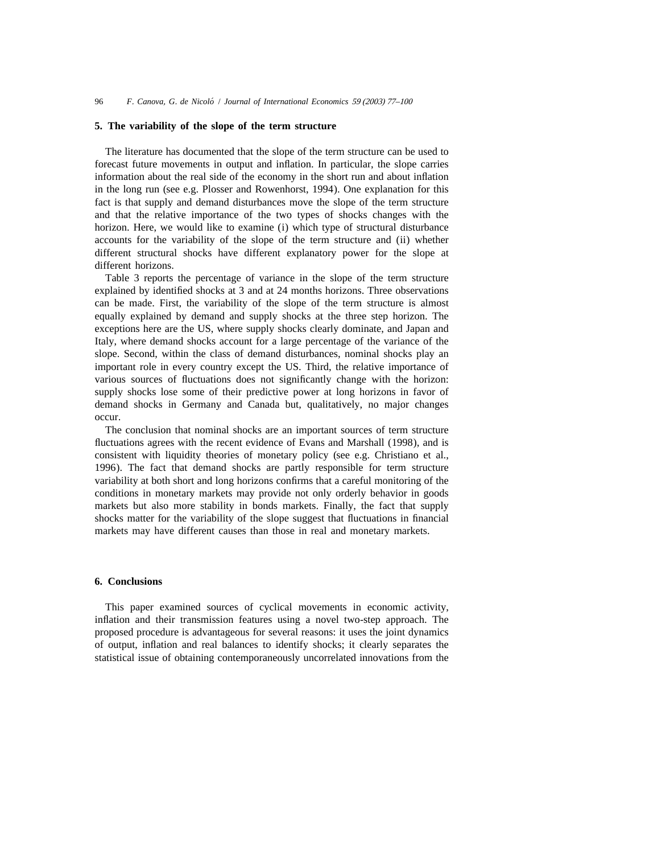# **5. The variability of the slope of the term structure**

The literature has documented that the slope of the term structure can be used to forecast future movements in output and inflation. In particular, the slope carries information about the real side of the economy in the short run and about inflation in the long run (see e.g. Plosser and Rowenhorst, 1994). One explanation for this fact is that supply and demand disturbances move the slope of the term structure and that the relative importance of the two types of shocks changes with the horizon. Here, we would like to examine (i) which type of structural disturbance accounts for the variability of the slope of the term structure and (ii) whether different structural shocks have different explanatory power for the slope at different horizons.

Table 3 reports the percentage of variance in the slope of the term structure explained by identified shocks at 3 and at 24 months horizons. Three observations can be made. First, the variability of the slope of the term structure is almost equally explained by demand and supply shocks at the three step horizon. The exceptions here are the US, where supply shocks clearly dominate, and Japan and Italy, where demand shocks account for a large percentage of the variance of the slope. Second, within the class of demand disturbances, nominal shocks play an important role in every country except the US. Third, the relative importance of various sources of fluctuations does not significantly change with the horizon: supply shocks lose some of their predictive power at long horizons in favor of demand shocks in Germany and Canada but, qualitatively, no major changes occur.

The conclusion that nominal shocks are an important sources of term structure fluctuations agrees with the recent evidence of Evans and Marshall (1998), and is consistent with liquidity theories of monetary policy (see e.g. Christiano et al., 1996). The fact that demand shocks are partly responsible for term structure variability at both short and long horizons confirms that a careful monitoring of the conditions in monetary markets may provide not only orderly behavior in goods markets but also more stability in bonds markets. Finally, the fact that supply shocks matter for the variability of the slope suggest that fluctuations in financial markets may have different causes than those in real and monetary markets.

#### **6. Conclusions**

This paper examined sources of cyclical movements in economic activity, inflation and their transmission features using a novel two-step approach. The proposed procedure is advantageous for several reasons: it uses the joint dynamics of output, inflation and real balances to identify shocks; it clearly separates the statistical issue of obtaining contemporaneously uncorrelated innovations from the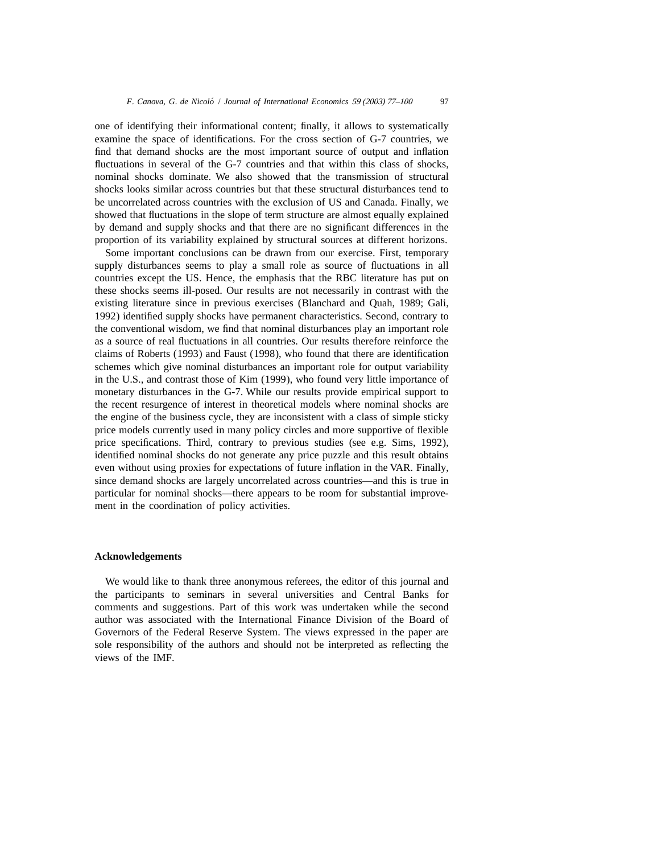one of identifying their informational content; finally, it allows to systematically examine the space of identifications. For the cross section of G-7 countries, we find that demand shocks are the most important source of output and inflation fluctuations in several of the G-7 countries and that within this class of shocks, nominal shocks dominate. We also showed that the transmission of structural shocks looks similar across countries but that these structural disturbances tend to be uncorrelated across countries with the exclusion of US and Canada. Finally, we showed that fluctuations in the slope of term structure are almost equally explained by demand and supply shocks and that there are no significant differences in the proportion of its variability explained by structural sources at different horizons.

Some important conclusions can be drawn from our exercise. First, temporary supply disturbances seems to play a small role as source of fluctuations in all countries except the US. Hence, the emphasis that the RBC literature has put on these shocks seems ill-posed. Our results are not necessarily in contrast with the existing literature since in previous exercises (Blanchard and Quah, 1989; Gali, 1992) identified supply shocks have permanent characteristics. Second, contrary to the conventional wisdom, we find that nominal disturbances play an important role as a source of real fluctuations in all countries. Our results therefore reinforce the claims of Roberts (1993) and Faust (1998), who found that there are identification schemes which give nominal disturbances an important role for output variability in the U.S., and contrast those of Kim (1999), who found very little importance of monetary disturbances in the G-7. While our results provide empirical support to the recent resurgence of interest in theoretical models where nominal shocks are the engine of the business cycle, they are inconsistent with a class of simple sticky price models currently used in many policy circles and more supportive of flexible price specifications. Third, contrary to previous studies (see e.g. Sims, 1992), identified nominal shocks do not generate any price puzzle and this result obtains even without using proxies for expectations of future inflation in the VAR. Finally, since demand shocks are largely uncorrelated across countries—and this is true in particular for nominal shocks—there appears to be room for substantial improvement in the coordination of policy activities.

#### **Acknowledgements**

We would like to thank three anonymous referees, the editor of this journal and the participants to seminars in several universities and Central Banks for comments and suggestions. Part of this work was undertaken while the second author was associated with the International Finance Division of the Board of Governors of the Federal Reserve System. The views expressed in the paper are sole responsibility of the authors and should not be interpreted as reflecting the views of the IMF.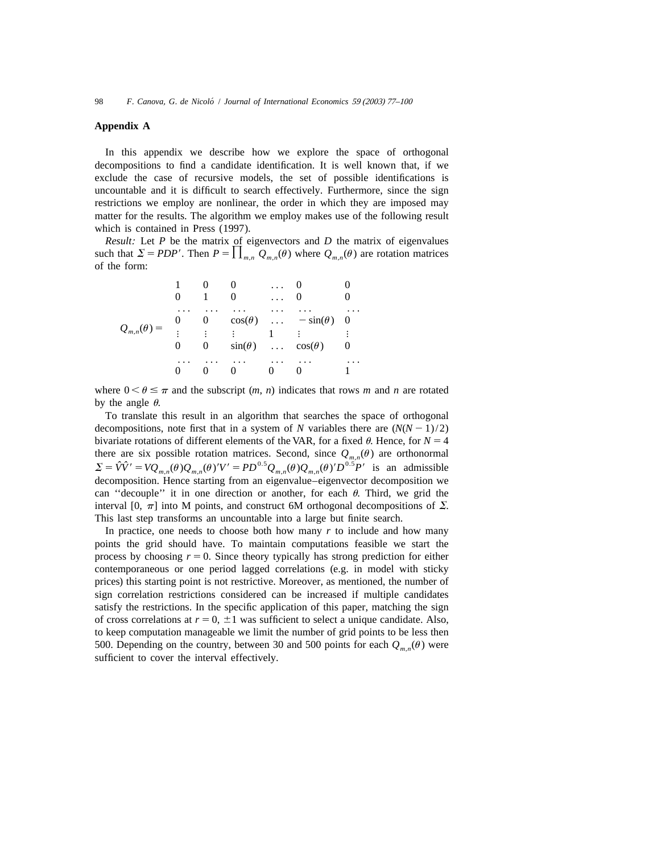# **Appendix A**

In this appendix we describe how we explore the space of orthogonal decompositions to find a candidate identification. It is well known that, if we exclude the case of recursive models, the set of possible identifications is uncountable and it is difficult to search effectively. Furthermore, since the sign restrictions we employ are nonlinear, the order in which they are imposed may matter for the results. The algorithm we employ makes use of the following result which is contained in Press (1997).

*Result*: Let *P* be the matrix of eigenvectors and *D* the matrix of eigenvalues such that  $\Sigma = PDP'$ . Then  $P = \prod_{m,n} Q_{m,n}(\theta)$  where  $Q_{m,n}(\theta)$  are rotation matrices of the form:

|                   |                      |                                | .        |                                           |  |
|-------------------|----------------------|--------------------------------|----------|-------------------------------------------|--|
| $Q_{m,n}(\theta)$ | $\vdots$<br>$\theta$ | $cos(\theta)$<br>$sin(\theta)$ | $\ldots$ | $\ldots$ $-\sin(\theta)$<br>$cos(\theta)$ |  |
|                   |                      |                                |          |                                           |  |

where  $0 < \theta \leq \pi$  and the subscript  $(m, n)$  indicates that rows *m* and *n* are rotated by the angle  $\theta$ .

To translate this result in an algorithm that searches the space of orthogonal decompositions, note first that in a system of *N* variables there are  $(N(N-1)/2)$ bivariate rotations of different elements of the VAR, for a fixed  $\theta$ . Hence, for  $N = 4$ there are six possible rotation matrices. Second, since  $Q_{m,n}(\theta)$  are orthonormal  $\Sigma = \hat{V}\hat{V}' = VQ_{m,n}(\theta)Q_{m,n}(\theta)'V' = PD^{0.5}Q_{m,n}(\theta)Q_{m,n}(\theta')D^{0.5}P'$  is an admissible decomposition. Hence starting from an eigenvalue–eigenvector decomposition we can "decouple" it in one direction or another, for each  $\theta$ . Third, we grid the interval [0,  $\pi$ ] into M points, and construct 6M orthogonal decompositions of  $\Sigma$ . This last step transforms an uncountable into a large but finite search.

In practice, one needs to choose both how many  $r$  to include and how many points the grid should have. To maintain computations feasible we start the process by choosing  $r = 0$ . Since theory typically has strong prediction for either contemporaneous or one period lagged correlations (e.g. in model with sticky prices) this starting point is not restrictive. Moreover, as mentioned, the number of sign correlation restrictions considered can be increased if multiple candidates satisfy the restrictions. In the specific application of this paper, matching the sign of cross correlations at  $r = 0, \pm 1$  was sufficient to select a unique candidate. Also, to keep computation manageable we limit the number of grid points to be less then 500. Depending on the country, between 30 and 500 points for each  $Q_{m,n}(\theta)$  were sufficient to cover the interval effectively.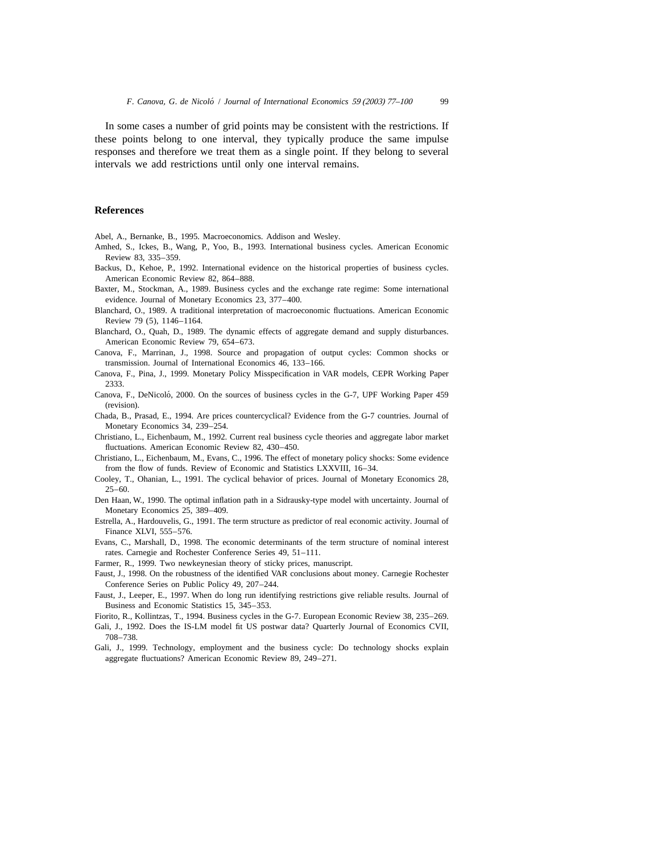In some cases a number of grid points may be consistent with the restrictions. If these points belong to one interval, they typically produce the same impulse responses and therefore we treat them as a single point. If they belong to several intervals we add restrictions until only one interval remains.

#### **References**

- Abel, A., Bernanke, B., 1995. Macroeconomics. Addison and Wesley.
- Amhed, S., Ickes, B., Wang, P., Yoo, B., 1993. International business cycles. American Economic Review 83, 335–359.
- Backus, D., Kehoe, P., 1992. International evidence on the historical properties of business cycles. American Economic Review 82, 864–888.
- Baxter, M., Stockman, A., 1989. Business cycles and the exchange rate regime: Some international evidence. Journal of Monetary Economics 23, 377–400.
- Blanchard, O., 1989. A traditional interpretation of macroeconomic fluctuations. American Economic Review 79 (5), 1146–1164.
- Blanchard, O., Quah, D., 1989. The dynamic effects of aggregate demand and supply disturbances. American Economic Review 79, 654–673.
- Canova, F., Marrinan, J., 1998. Source and propagation of output cycles: Common shocks or transmission. Journal of International Economics 46, 133–166.
- Canova, F., Pina, J., 1999. Monetary Policy Misspecification in VAR models, CEPR Working Paper 2333.
- Canova, F., DeNicoló, 2000. On the sources of business cycles in the G-7, UPF Working Paper 459 (revision).
- Chada, B., Prasad, E., 1994. Are prices countercyclical? Evidence from the G-7 countries. Journal of Monetary Economics 34, 239–254.
- Christiano, L., Eichenbaum, M., 1992. Current real business cycle theories and aggregate labor market fluctuations. American Economic Review 82, 430–450.
- Christiano, L., Eichenbaum, M., Evans, C., 1996. The effect of monetary policy shocks: Some evidence from the flow of funds. Review of Economic and Statistics LXXVIII, 16–34.
- Cooley, T., Ohanian, L., 1991. The cyclical behavior of prices. Journal of Monetary Economics 28, 25–60.
- Den Haan, W., 1990. The optimal inflation path in a Sidrausky-type model with uncertainty. Journal of Monetary Economics 25, 389–409.
- Estrella, A., Hardouvelis, G., 1991. The term structure as predictor of real economic activity. Journal of Finance XLVI, 555–576.
- Evans, C., Marshall, D., 1998. The economic determinants of the term structure of nominal interest rates. Carnegie and Rochester Conference Series 49, 51–111.
- Farmer, R., 1999. Two newkeynesian theory of sticky prices, manuscript.
- Faust, J., 1998. On the robustness of the identified VAR conclusions about money. Carnegie Rochester Conference Series on Public Policy 49, 207–244.
- Faust, J., Leeper, E., 1997. When do long run identifying restrictions give reliable results. Journal of Business and Economic Statistics 15, 345–353.
- Fiorito, R., Kollintzas, T., 1994. Business cycles in the G-7. European Economic Review 38, 235–269.
- Gali, J., 1992. Does the IS-LM model fit US postwar data? Quarterly Journal of Economics CVII, 708–738.
- Gali, J., 1999. Technology, employment and the business cycle: Do technology shocks explain aggregate fluctuations? American Economic Review 89, 249–271.